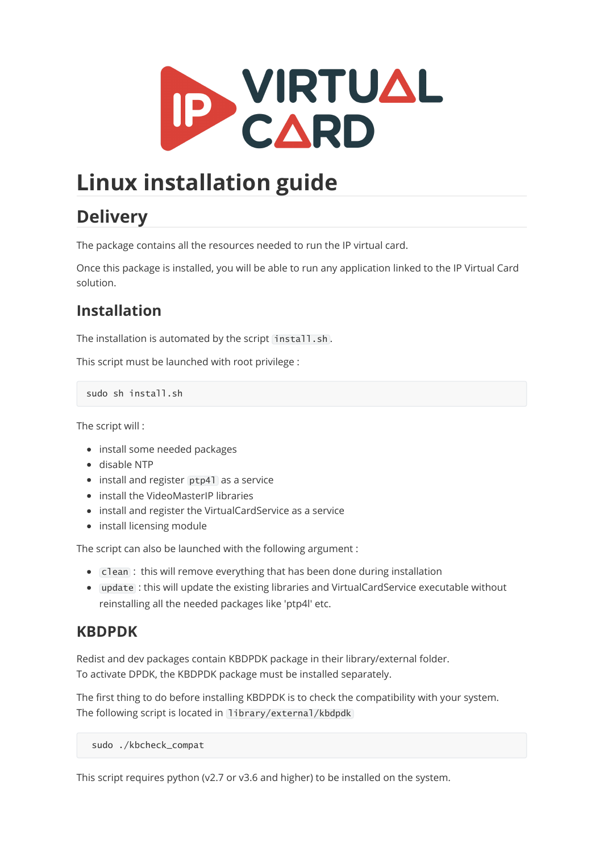

# **Linux installation guide**

## **Delivery**

The package contains all the resources needed to run the IP virtual card.

Once this package is installed, you will be able to run any application linked to the IP Virtual Card solution.

### **Installation**

The installation is automated by the script install.sh.

This script must be launched with root privilege :

sudo sh install.sh

The script will :

- install some needed packages
- disable NTP
- install and register ptp41 as a service
- install the VideoMasterIP libraries
- install and register the VirtualCardService as a service
- install licensing module

The script can also be launched with the following argument :

- Clean : this will remove everything that has been done during installation
- update : this will update the existing libraries and VirtualCardService executable without reinstalling all the needed packages like 'ptp4l' etc.

#### **KBDPDK**

Redist and dev packages contain KBDPDK package in their library/external folder. To activate DPDK, the KBDPDK package must be installed separately.

The first thing to do before installing KBDPDK is to check the compatibility with your system. The following script is located in library/external/kbdpdk

sudo ./kbcheck\_compat

This script requires python (v2.7 or v3.6 and higher) to be installed on the system.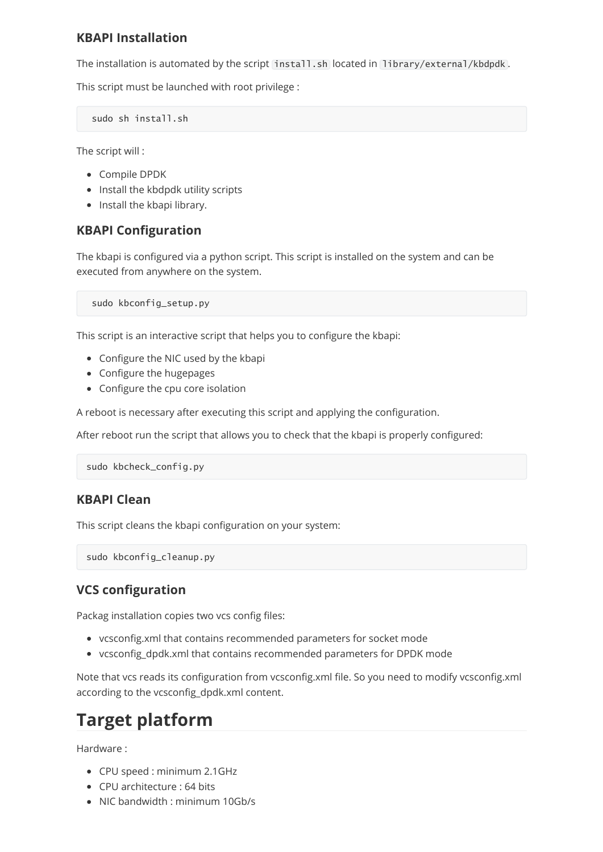#### **KBAPI Installation**

The installation is automated by the script install.sh located in library/external/kbdpdk .

This script must be launched with root privilege :

sudo sh install.sh

The script will :

- Compile DPDK
- Install the kbdpdk utility scripts
- Install the kbapi library.

#### **KBAPI Configuration**

The kbapi is configured via a python script. This script is installed on the system and can be executed from anywhere on the system.

sudo kbconfig\_setup.py

This script is an interactive script that helps you to configure the kbapi:

- Configure the NIC used by the kbapi
- Configure the hugepages
- Configure the cpu core isolation

A reboot is necessary after executing this script and applying the configuration.

After reboot run the script that allows you to check that the kbapi is properly configured:

```
sudo kbcheck_config.py
```
#### **KBAPI Clean**

This script cleans the kbapi configuration on your system:

sudo kbconfig\_cleanup.py

#### **VCS configuration**

Packag installation copies two vcs config files:

- vcsconfig.xml that contains recommended parameters for socket mode
- vcsconfig\_dpdk.xml that contains recommended parameters for DPDK mode

Note that vcs reads its configuration from vcsconfig.xml file. So you need to modify vcsconfig.xml according to the vcsconfig\_dpdk.xml content.

## **Target platform**

Hardware :

- CPU speed : minimum 2.1GHz
- CPU architecture : 64 bits
- NIC bandwidth : minimum 10Gb/s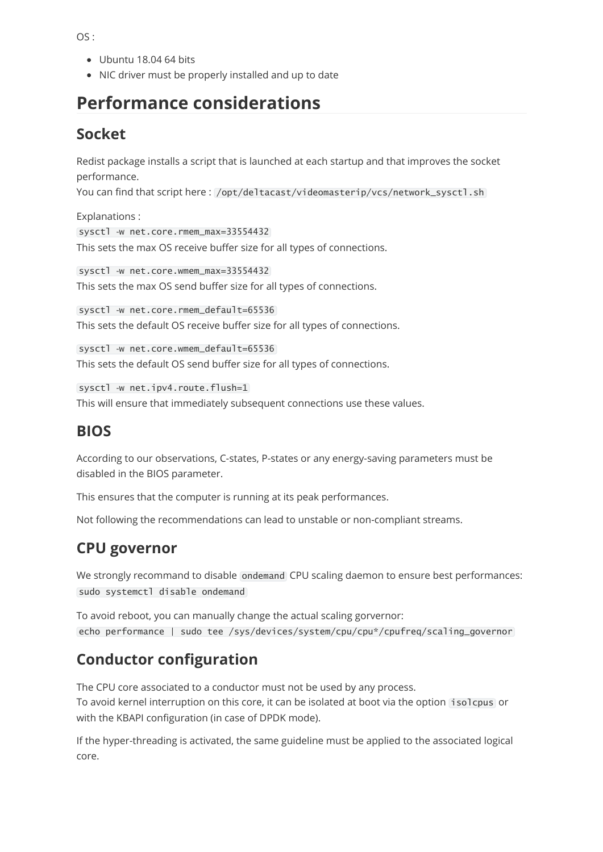OS :

- Ubuntu 18.04 64 bits
- NIC driver must be properly installed and up to date

## **Performance considerations**

#### **Socket**

Redist package installs a script that is launched at each startup and that improves the socket performance.

You can find that script here: /opt/deltacast/videomasterip/vcs/network\_sysctl.sh

Explanations : sysctl -w net.core.rmem\_max=33554432 This sets the max OS receive buffer size for all types of connections.

sysctl -w net.core.wmem\_max=33554432 This sets the max OS send buffer size for all types of connections.

sysctl -w net.core.rmem\_default=65536 This sets the default OS receive buffer size for all types of connections.

sysctl -w net.core.wmem\_default=65536 This sets the default OS send buffer size for all types of connections.

sysctl -w net.ipv4.route.flush=1 This will ensure that immediately subsequent connections use these values.

#### **BIOS**

According to our observations, C-states, P-states or any energy-saving parameters must be disabled in the BIOS parameter.

This ensures that the computer is running at its peak performances.

Not following the recommendations can lead to unstable or non-compliant streams.

#### **CPU governor**

We strongly recommand to disable ondemand CPU scaling daemon to ensure best performances: sudo systemctl disable ondemand

To avoid reboot, you can manually change the actual scaling gorvernor: echo performance | sudo tee /sys/devices/system/cpu/cpu\*/cpufreq/scaling\_governor

### **Conductor configuration**

The CPU core associated to a conductor must not be used by any process. To avoid kernel interruption on this core, it can be isolated at boot via the option [isolcpus] or with the KBAPI configuration (in case of DPDK mode).

If the hyper-threading is activated, the same guideline must be applied to the associated logical core.